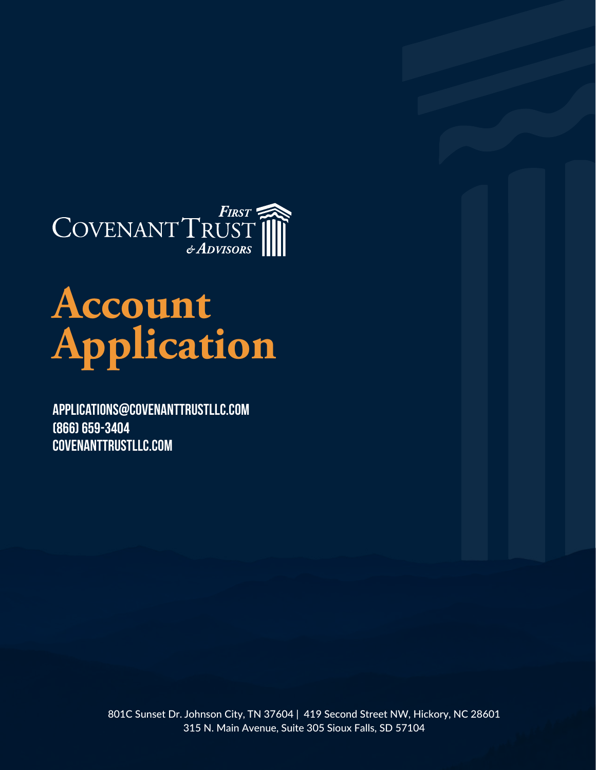

# **Account Application**

[Applications@CovenantTrustLLC.com](mailto:applications@covenanttrustllc.com?subject=Account Application) (866) 659-3404 [CovenantTrustLLC.com](www.covenanttrustllc.com)

> 801C Sunset Dr. Johnson City, TN 37604 | 419 Second Street NW, Hickory, NC 28601 315 N. Main Avenue, Suite 305 Sioux Falls, SD 57104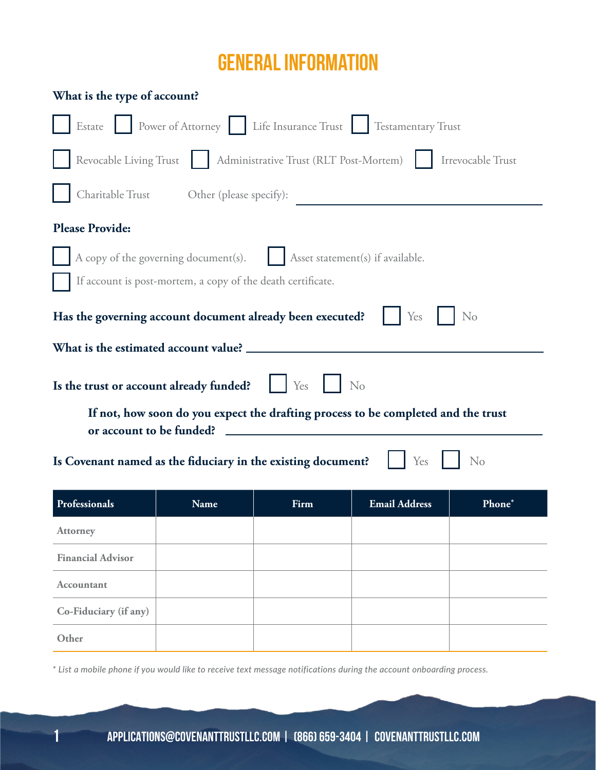# GENERAL INFORMATION

| What is the type of account?                                                                                  |      |      |                      |        |  |  |
|---------------------------------------------------------------------------------------------------------------|------|------|----------------------|--------|--|--|
| Estate Power of Attorney Life Insurance Trust Testamentary Trust                                              |      |      |                      |        |  |  |
| Revocable Living Trust   Administrative Trust (RLT Post-Mortem)    <br>Irrevocable Trust                      |      |      |                      |        |  |  |
| Charitable Trust Other (please specify):                                                                      |      |      |                      |        |  |  |
| <b>Please Provide:</b>                                                                                        |      |      |                      |        |  |  |
| A copy of the governing document(s).<br>Asset statement(s) if available.                                      |      |      |                      |        |  |  |
| If account is post-mortem, a copy of the death certificate.                                                   |      |      |                      |        |  |  |
| Has the governing account document already been executed?<br>Yes<br>N <sub>o</sub>                            |      |      |                      |        |  |  |
| What is the estimated account value? __                                                                       |      |      |                      |        |  |  |
| Yes<br>Is the trust or account already funded?<br>No                                                          |      |      |                      |        |  |  |
| If not, how soon do you expect the drafting process to be completed and the trust<br>or account to be funded? |      |      |                      |        |  |  |
| Is Covenant named as the fiduciary in the existing document?<br>N <sub>o</sub><br>Yes                         |      |      |                      |        |  |  |
| Professionals                                                                                                 | Name | Firm | <b>Email Address</b> | Phone* |  |  |
| <b>Attorney</b>                                                                                               |      |      |                      |        |  |  |
| <b>Financial Advisor</b>                                                                                      |      |      |                      |        |  |  |
| <b>Accountant</b>                                                                                             |      |      |                      |        |  |  |
| Co-Fiduciary (if any)                                                                                         |      |      |                      |        |  |  |
| Other                                                                                                         |      |      |                      |        |  |  |

*\* List a mobile phone if you would like to receive text message notifications during the account onboarding process.*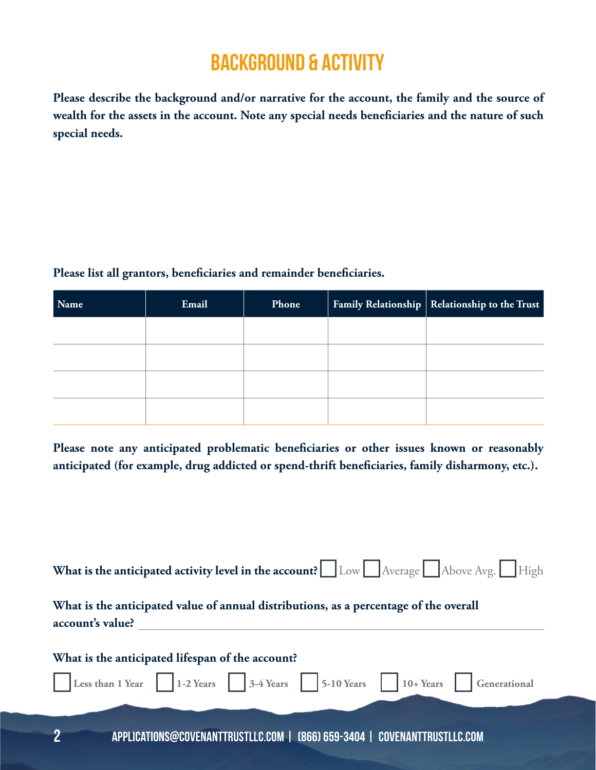# background & activity

**Please describe the background and/or narrative for the account, the family and the source of wealth for the assets in the account. Note any special needs beneficiaries and the nature of such special needs.** 

#### **Please list all grantors, beneficiaries and remainder beneficiaries.**

| Name | Email | Phone | Family Relationship   Relationship to the Trust |
|------|-------|-------|-------------------------------------------------|
|      |       |       |                                                 |
|      |       |       |                                                 |
|      |       |       |                                                 |
|      |       |       |                                                 |

**Please note any anticipated problematic beneficiaries or other issues known or reasonably anticipated (for example, drug addicted or spend-thrift beneficiaries, family disharmony, etc.).**

| What is the anticipated activity level in the account? $\Box$ Low $\Box$ Average $\Box$ Above Avg. $\Box$ High             |  |  |  |  |
|----------------------------------------------------------------------------------------------------------------------------|--|--|--|--|
| What is the anticipated value of annual distributions, as a percentage of the overall<br>account's value?                  |  |  |  |  |
| What is the anticipated lifespan of the account?<br>Less than 1 Year 1-2 Years 3-4 Years 5-10 Years 10+ Years Generational |  |  |  |  |
|                                                                                                                            |  |  |  |  |
| ŋ<br>APPLICATIONS@COVENANTTRUSTLLC.COM   (866) 659-3404   COVENANTTRUSTLLC.COM                                             |  |  |  |  |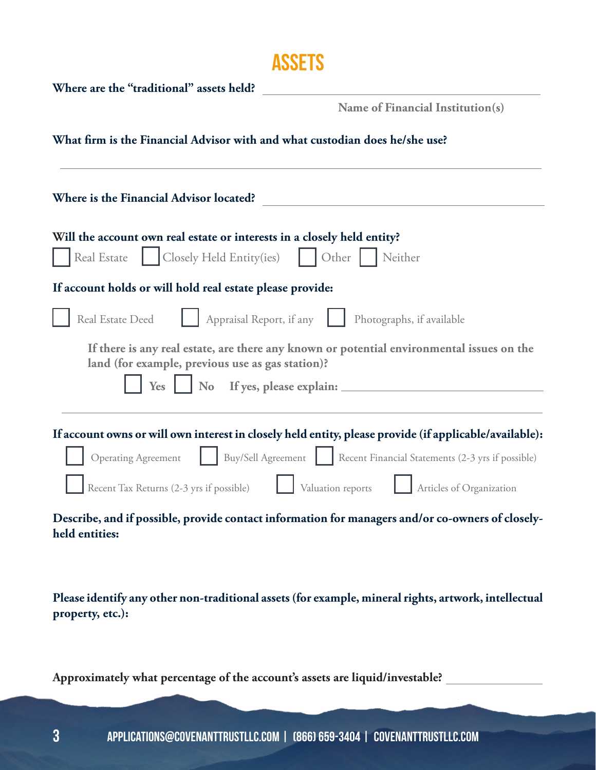## **ASSETS**

| Where are the "traditional" assets held?                                                                                                      |  |  |  |  |  |
|-----------------------------------------------------------------------------------------------------------------------------------------------|--|--|--|--|--|
| Name of Financial Institution(s)                                                                                                              |  |  |  |  |  |
| What firm is the Financial Advisor with and what custodian does he/she use?                                                                   |  |  |  |  |  |
| Where is the Financial Advisor located?                                                                                                       |  |  |  |  |  |
| Will the account own real estate or interests in a closely held entity?                                                                       |  |  |  |  |  |
| Closely Held Entity(ies)<br>Real Estate<br>Other<br>Neither                                                                                   |  |  |  |  |  |
| If account holds or will hold real estate please provide:                                                                                     |  |  |  |  |  |
| Appraisal Report, if any<br>Real Estate Deed<br>Photographs, if available                                                                     |  |  |  |  |  |
| If there is any real estate, are there any known or potential environmental issues on the<br>land (for example, previous use as gas station)? |  |  |  |  |  |
| <b>No</b><br>If yes, please explain:<br><b>Yes</b>                                                                                            |  |  |  |  |  |
| If account owns or will own interest in closely held entity, please provide (if applicable/available):                                        |  |  |  |  |  |
| Buy/Sell Agreement Recent Financial Statements (2-3 yrs if possible)<br><b>Operating Agreement</b>                                            |  |  |  |  |  |
| Recent Tax Returns (2-3 yrs if possible)<br>Valuation reports<br>Articles of Organization                                                     |  |  |  |  |  |
| Describe, and if possible, provide contact information for managers and/or co-owners of closely-<br>held entities:                            |  |  |  |  |  |

**Please identify any other non-traditional assets (for example, mineral rights, artwork, intellectual property, etc.):**

**Approximately what percentage of the account's assets are liquid/investable?**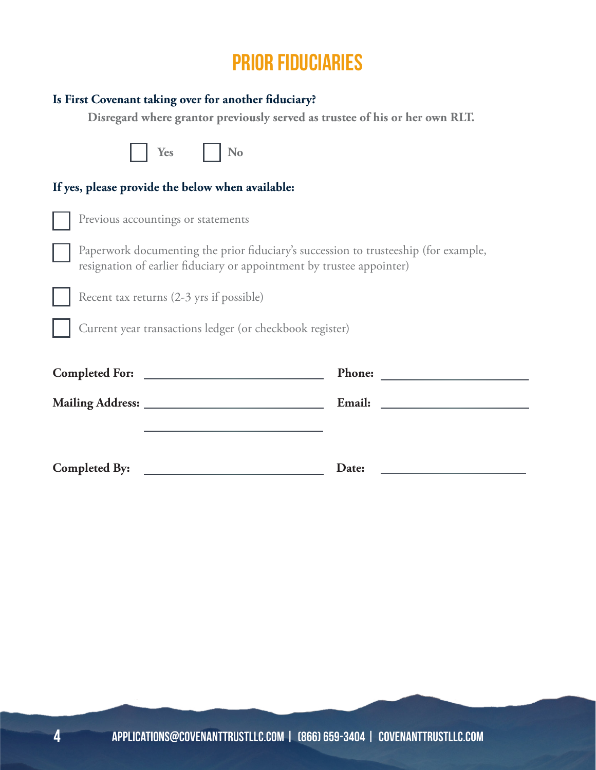## prior fiduciaries

#### **Is First Covenant taking over for another fiduciary?**

**Disregard where grantor previously served as trustee of his or her own RLT.**

| Yes<br>No                                                                                                                                                    |                                             |  |  |  |  |  |
|--------------------------------------------------------------------------------------------------------------------------------------------------------------|---------------------------------------------|--|--|--|--|--|
| If yes, please provide the below when available:                                                                                                             |                                             |  |  |  |  |  |
| Previous accountings or statements                                                                                                                           |                                             |  |  |  |  |  |
| Paperwork documenting the prior fiduciary's succession to trusteeship (for example,<br>resignation of earlier fiduciary or appointment by trustee appointer) |                                             |  |  |  |  |  |
| Recent tax returns (2-3 yrs if possible)                                                                                                                     |                                             |  |  |  |  |  |
| Current year transactions ledger (or checkbook register)                                                                                                     |                                             |  |  |  |  |  |
|                                                                                                                                                              | <b>Phone:</b>                               |  |  |  |  |  |
|                                                                                                                                                              | Email:<br><u>and the state of the state</u> |  |  |  |  |  |
|                                                                                                                                                              |                                             |  |  |  |  |  |
| <b>Completed By:</b>                                                                                                                                         | Date:                                       |  |  |  |  |  |